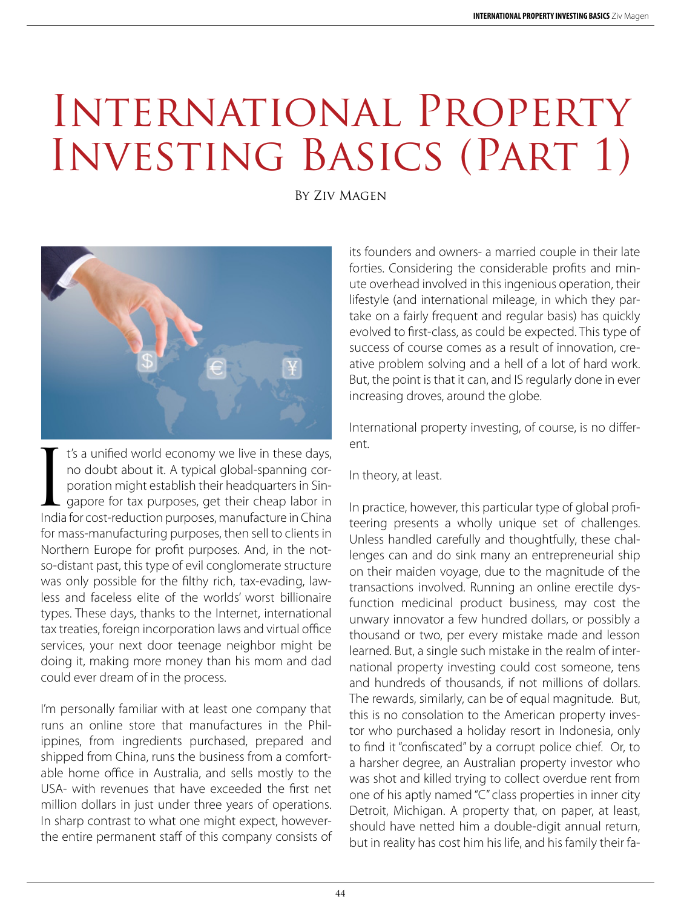## International Property Investing Basics (Part 1)

By Ziv Magen



I's a unified world economy we live in these days,<br>no doubt about it. A typical global-spanning cor-<br>poration might establish their headquarters in Sin-<br>gapore for tax purposes, get their cheap labor in<br>India for cost-redu t's a unified world economy we live in these days, no doubt about it. A typical global-spanning corporation might establish their headquarters in Sin- $\overline{\phantom{a}}$  gapore for tax purposes, get their cheap labor in for mass-manufacturing purposes, then sell to clients in Northern Europe for profit purposes. And, in the notso-distant past, this type of evil conglomerate structure was only possible for the filthy rich, tax-evading, lawless and faceless elite of the worlds' worst billionaire types. These days, thanks to the Internet, international tax treaties, foreign incorporation laws and virtual office services, your next door teenage neighbor might be doing it, making more money than his mom and dad could ever dream of in the process.

I'm personally familiar with at least one company that runs an online store that manufactures in the Philippines, from ingredients purchased, prepared and shipped from China, runs the business from a comfortable home office in Australia, and sells mostly to the USA- with revenues that have exceeded the first net million dollars in just under three years of operations. In sharp contrast to what one might expect, howeverthe entire permanent staff of this company consists of its founders and owners- a married couple in their late forties. Considering the considerable profits and minute overhead involved in this ingenious operation, their lifestyle (and international mileage, in which they partake on a fairly frequent and regular basis) has quickly evolved to first-class, as could be expected. This type of success of course comes as a result of innovation, creative problem solving and a hell of a lot of hard work. But, the point is that it can, and IS regularly done in ever increasing droves, around the globe.

International property investing, of course, is no different.

In theory, at least.

In practice, however, this particular type of global profiteering presents a wholly unique set of challenges. Unless handled carefully and thoughtfully, these challenges can and do sink many an entrepreneurial ship on their maiden voyage, due to the magnitude of the transactions involved. Running an online erectile dysfunction medicinal product business, may cost the unwary innovator a few hundred dollars, or possibly a thousand or two, per every mistake made and lesson learned. But, a single such mistake in the realm of international property investing could cost someone, tens and hundreds of thousands, if not millions of dollars. The rewards, similarly, can be of equal magnitude. But, this is no consolation to the American property investor who purchased a holiday resort in Indonesia, only to find it "confiscated" by a corrupt police chief. Or, to a harsher degree, an Australian property investor who was shot and killed trying to collect overdue rent from one of his aptly named "C" class properties in inner city Detroit, Michigan. A property that, on paper, at least, should have netted him a double-digit annual return, but in reality has cost him his life, and his family their fa-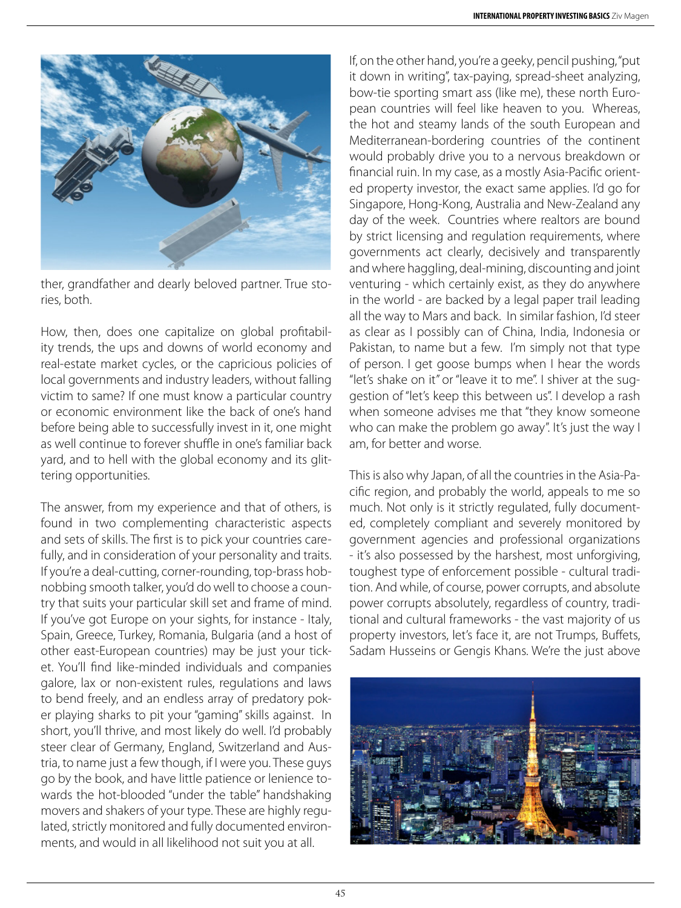

ther, grandfather and dearly beloved partner. True stories, both.

How, then, does one capitalize on global profitability trends, the ups and downs of world economy and real-estate market cycles, or the capricious policies of local governments and industry leaders, without falling victim to same? If one must know a particular country or economic environment like the back of one's hand before being able to successfully invest in it, one might as well continue to forever shuffle in one's familiar back yard, and to hell with the global economy and its glittering opportunities.

The answer, from my experience and that of others, is found in two complementing characteristic aspects and sets of skills. The first is to pick your countries carefully, and in consideration of your personality and traits. If you're a deal-cutting, corner-rounding, top-brass hobnobbing smooth talker, you'd do well to choose a country that suits your particular skill set and frame of mind. If you've got Europe on your sights, for instance - Italy, Spain, Greece, Turkey, Romania, Bulgaria (and a host of other east-European countries) may be just your ticket. You'll find like-minded individuals and companies galore, lax or non-existent rules, regulations and laws to bend freely, and an endless array of predatory poker playing sharks to pit your "gaming" skills against. In short, you'll thrive, and most likely do well. I'd probably steer clear of Germany, England, Switzerland and Austria, to name just a few though, if I were you. These guys go by the book, and have little patience or lenience towards the hot-blooded "under the table" handshaking movers and shakers of your type. These are highly regulated, strictly monitored and fully documented environments, and would in all likelihood not suit you at all.

If, on the other hand, you're a geeky, pencil pushing, "put it down in writing", tax-paying, spread-sheet analyzing, bow-tie sporting smart ass (like me), these north European countries will feel like heaven to you. Whereas, the hot and steamy lands of the south European and Mediterranean-bordering countries of the continent would probably drive you to a nervous breakdown or financial ruin. In my case, as a mostly Asia-Pacific oriented property investor, the exact same applies. I'd go for Singapore, Hong-Kong, Australia and New-Zealand any day of the week. Countries where realtors are bound by strict licensing and regulation requirements, where governments act clearly, decisively and transparently and where haggling, deal-mining, discounting and joint venturing - which certainly exist, as they do anywhere in the world - are backed by a legal paper trail leading all the way to Mars and back. In similar fashion, I'd steer as clear as I possibly can of China, India, Indonesia or Pakistan, to name but a few. I'm simply not that type of person. I get goose bumps when I hear the words "let's shake on it" or "leave it to me". I shiver at the suggestion of "let's keep this between us". I develop a rash when someone advises me that "they know someone who can make the problem go away". It's just the way I am, for better and worse.

This is also why Japan, of all the countries in the Asia-Pacific region, and probably the world, appeals to me so much. Not only is it strictly regulated, fully documented, completely compliant and severely monitored by government agencies and professional organizations - it's also possessed by the harshest, most unforgiving, toughest type of enforcement possible - cultural tradition. And while, of course, power corrupts, and absolute power corrupts absolutely, regardless of country, traditional and cultural frameworks - the vast majority of us property investors, let's face it, are not Trumps, Buffets, Sadam Husseins or Gengis Khans. We're the just above